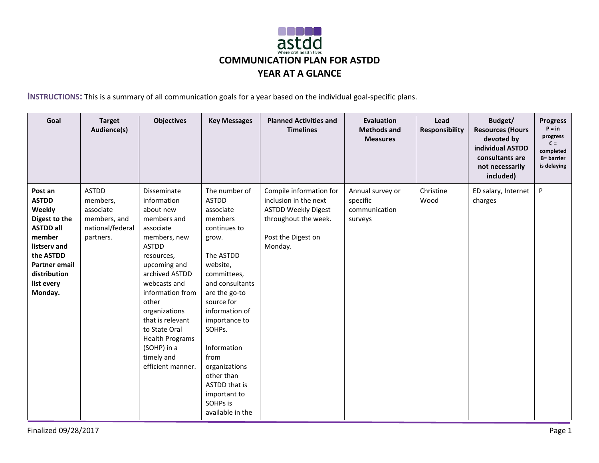

**INSTRUCTIONS:** This is a summary of all communication goals for a year based on the individual goal-specific plans.

| Goal                                                                                                                                                                           | <b>Target</b><br>Audience(s)                                                           | <b>Objectives</b>                                                                                                                                                                                                                                                                                                                  | <b>Key Messages</b>                                                                                                                                                                                                                                                                                                                          | <b>Planned Activities and</b><br><b>Timelines</b>                                                                                       | <b>Evaluation</b><br><b>Methods and</b><br><b>Measures</b> | Lead<br><b>Responsibility</b> | Budget/<br><b>Resources (Hours</b><br>devoted by<br>individual ASTDD<br>consultants are<br>not necessarily<br>included) | <b>Progress</b><br>$P = in$<br>progress<br>$C =$<br>completed<br><b>B</b> = barrier<br>is delaying |
|--------------------------------------------------------------------------------------------------------------------------------------------------------------------------------|----------------------------------------------------------------------------------------|------------------------------------------------------------------------------------------------------------------------------------------------------------------------------------------------------------------------------------------------------------------------------------------------------------------------------------|----------------------------------------------------------------------------------------------------------------------------------------------------------------------------------------------------------------------------------------------------------------------------------------------------------------------------------------------|-----------------------------------------------------------------------------------------------------------------------------------------|------------------------------------------------------------|-------------------------------|-------------------------------------------------------------------------------------------------------------------------|----------------------------------------------------------------------------------------------------|
| Post an<br><b>ASTDD</b><br>Weekly<br>Digest to the<br><b>ASTDD all</b><br>member<br>listserv and<br>the ASTDD<br><b>Partner email</b><br>distribution<br>list every<br>Monday. | <b>ASTDD</b><br>members,<br>associate<br>members, and<br>national/federal<br>partners. | Disseminate<br>information<br>about new<br>members and<br>associate<br>members, new<br><b>ASTDD</b><br>resources,<br>upcoming and<br>archived ASTDD<br>webcasts and<br>information from<br>other<br>organizations<br>that is relevant<br>to State Oral<br><b>Health Programs</b><br>(SOHP) in a<br>timely and<br>efficient manner. | The number of<br><b>ASTDD</b><br>associate<br>members<br>continues to<br>grow.<br>The ASTDD<br>website,<br>committees,<br>and consultants<br>are the go-to<br>source for<br>information of<br>importance to<br>SOHPs.<br>Information<br>from<br>organizations<br>other than<br>ASTDD that is<br>important to<br>SOHPs is<br>available in the | Compile information for<br>inclusion in the next<br><b>ASTDD Weekly Digest</b><br>throughout the week.<br>Post the Digest on<br>Monday. | Annual survey or<br>specific<br>communication<br>surveys   | Christine<br>Wood             | ED salary, Internet<br>charges                                                                                          | P                                                                                                  |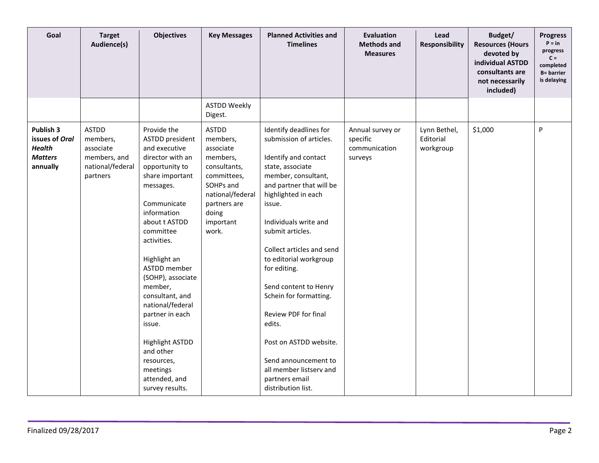| Goal                                                                       | <b>Target</b><br>Audience(s)                                                          | <b>Objectives</b>                                                                                                                                                                                                                                                                                                                                                                                                                         | <b>Key Messages</b>                                                                                                                                              | <b>Planned Activities and</b><br><b>Timelines</b>                                                                                                                                                                                                                                                                                                                                                                                                                                                               | <b>Evaluation</b><br><b>Methods and</b><br><b>Measures</b> | Lead<br><b>Responsibility</b>          | Budget/<br><b>Resources (Hours</b><br>devoted by<br>individual ASTDD<br>consultants are<br>not necessarily<br>included) | <b>Progress</b><br>$P = in$<br>progress<br>$C =$<br>completed<br><b>B</b> = barrier<br>is delaying |
|----------------------------------------------------------------------------|---------------------------------------------------------------------------------------|-------------------------------------------------------------------------------------------------------------------------------------------------------------------------------------------------------------------------------------------------------------------------------------------------------------------------------------------------------------------------------------------------------------------------------------------|------------------------------------------------------------------------------------------------------------------------------------------------------------------|-----------------------------------------------------------------------------------------------------------------------------------------------------------------------------------------------------------------------------------------------------------------------------------------------------------------------------------------------------------------------------------------------------------------------------------------------------------------------------------------------------------------|------------------------------------------------------------|----------------------------------------|-------------------------------------------------------------------------------------------------------------------------|----------------------------------------------------------------------------------------------------|
|                                                                            |                                                                                       |                                                                                                                                                                                                                                                                                                                                                                                                                                           | <b>ASTDD Weekly</b><br>Digest.                                                                                                                                   |                                                                                                                                                                                                                                                                                                                                                                                                                                                                                                                 |                                                            |                                        |                                                                                                                         |                                                                                                    |
| Publish 3<br>issues of Oral<br><b>Health</b><br><b>Matters</b><br>annually | <b>ASTDD</b><br>members,<br>associate<br>members, and<br>national/federal<br>partners | Provide the<br>ASTDD president<br>and executive<br>director with an<br>opportunity to<br>share important<br>messages.<br>Communicate<br>information<br>about t ASTDD<br>committee<br>activities.<br>Highlight an<br>ASTDD member<br>(SOHP), associate<br>member,<br>consultant, and<br>national/federal<br>partner in each<br>issue.<br><b>Highlight ASTDD</b><br>and other<br>resources,<br>meetings<br>attended, and<br>survey results. | <b>ASTDD</b><br>members,<br>associate<br>members,<br>consultants,<br>committees,<br>SOHPs and<br>national/federal<br>partners are<br>doing<br>important<br>work. | Identify deadlines for<br>submission of articles.<br>Identify and contact<br>state, associate<br>member, consultant,<br>and partner that will be<br>highlighted in each<br>issue.<br>Individuals write and<br>submit articles.<br>Collect articles and send<br>to editorial workgroup<br>for editing.<br>Send content to Henry<br>Schein for formatting.<br>Review PDF for final<br>edits.<br>Post on ASTDD website.<br>Send announcement to<br>all member listserv and<br>partners email<br>distribution list. | Annual survey or<br>specific<br>communication<br>surveys   | Lynn Bethel,<br>Editorial<br>workgroup | \$1,000                                                                                                                 | P                                                                                                  |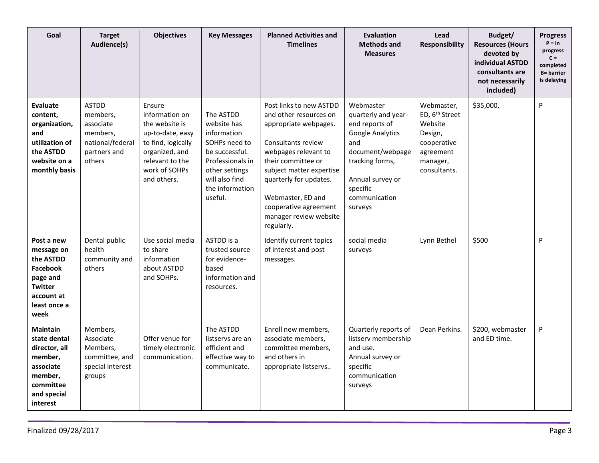| Goal                                                                                                                         | <b>Target</b><br>Audience(s)                                                                    | <b>Objectives</b>                                                                                                                                         | <b>Key Messages</b>                                                                                                                                              | <b>Planned Activities and</b><br><b>Timelines</b>                                                                                                                                                                                                                                          | <b>Evaluation</b><br><b>Methods and</b><br><b>Measures</b>                                                                                                                       | Lead<br><b>Responsibility</b>                                                                                          | Budget/<br><b>Resources (Hours</b><br>devoted by<br>individual ASTDD<br>consultants are<br>not necessarily<br>included) | <b>Progress</b><br>$P = in$<br>progress<br>$C =$<br>completed<br><b>B</b> = barrier<br>is delaying |
|------------------------------------------------------------------------------------------------------------------------------|-------------------------------------------------------------------------------------------------|-----------------------------------------------------------------------------------------------------------------------------------------------------------|------------------------------------------------------------------------------------------------------------------------------------------------------------------|--------------------------------------------------------------------------------------------------------------------------------------------------------------------------------------------------------------------------------------------------------------------------------------------|----------------------------------------------------------------------------------------------------------------------------------------------------------------------------------|------------------------------------------------------------------------------------------------------------------------|-------------------------------------------------------------------------------------------------------------------------|----------------------------------------------------------------------------------------------------|
| <b>Evaluate</b><br>content,<br>organization,<br>and<br>utilization of<br>the ASTDD<br>website on a<br>monthly basis          | <b>ASTDD</b><br>members,<br>associate<br>members.<br>national/federal<br>partners and<br>others | Ensure<br>information on<br>the website is<br>up-to-date, easy<br>to find, logically<br>organized, and<br>relevant to the<br>work of SOHPs<br>and others. | The ASTDD<br>website has<br>information<br>SOHPs need to<br>be successful.<br>Professionals in<br>other settings<br>will also find<br>the information<br>useful. | Post links to new ASTDD<br>and other resources on<br>appropriate webpages.<br>Consultants review<br>webpages relevant to<br>their committee or<br>subject matter expertise<br>quarterly for updates.<br>Webmaster, ED and<br>cooperative agreement<br>manager review website<br>regularly. | Webmaster<br>quarterly and year-<br>end reports of<br>Google Analytics<br>and<br>document/webpage<br>tracking forms,<br>Annual survey or<br>specific<br>communication<br>surveys | Webmaster,<br>ED, 6 <sup>th</sup> Street<br>Website<br>Design,<br>cooperative<br>agreement<br>manager,<br>consultants. | \$35,000,                                                                                                               | P                                                                                                  |
| Post a new<br>message on<br>the ASTDD<br><b>Facebook</b><br>page and<br><b>Twitter</b><br>account at<br>least once a<br>week | Dental public<br>health<br>community and<br>others                                              | Use social media<br>to share<br>information<br>about ASTDD<br>and SOHPs.                                                                                  | ASTDD is a<br>trusted source<br>for evidence-<br>based<br>information and<br>resources.                                                                          | Identify current topics<br>of interest and post<br>messages.                                                                                                                                                                                                                               | social media<br>surveys                                                                                                                                                          | Lynn Bethel                                                                                                            | \$500                                                                                                                   | P                                                                                                  |
| <b>Maintain</b><br>state dental<br>director, all<br>member,<br>associate<br>member,<br>committee<br>and special<br>interest  | Members,<br>Associate<br>Members,<br>committee, and<br>special interest<br>groups               | Offer venue for<br>timely electronic<br>communication.                                                                                                    | The ASTDD<br>listservs are an<br>efficient and<br>effective way to<br>communicate.                                                                               | Enroll new members,<br>associate members,<br>committee members,<br>and others in<br>appropriate listservs                                                                                                                                                                                  | Quarterly reports of<br>listserv membership<br>and use.<br>Annual survey or<br>specific<br>communication<br>surveys                                                              | Dean Perkins.                                                                                                          | \$200, webmaster<br>and ED time.                                                                                        | P                                                                                                  |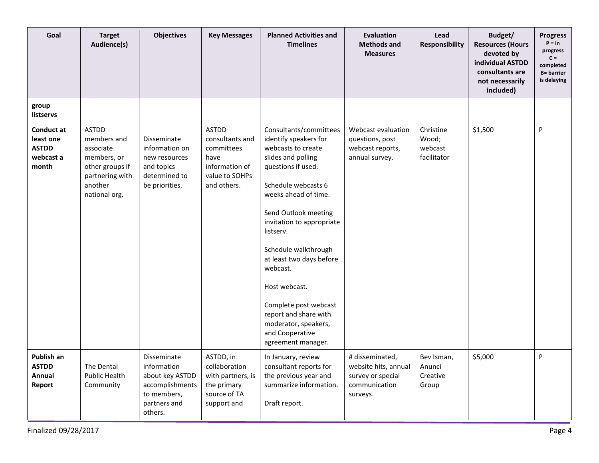| Goal                                                          | <b>Target</b><br>Audience(s)                                                                                              | <b>Objectives</b>                                                                                          | <b>Key Messages</b>                                                                                      | <b>Planned Activities and</b><br><b>Timelines</b>                                                                                                                                                                                                                                                                                                                                                                                      | <b>Evaluation</b><br><b>Methods and</b><br><b>Measures</b>                                | Lead<br>Responsibility                       | Budget/<br><b>Resources (Hours</b><br>devoted by<br>individual ASTDD<br>consultants are<br>not necessarily<br>included) | <b>Progress</b><br>$P = in$<br>progress<br>$C =$<br>completed<br><b>B</b> = barrier<br>is delaying |
|---------------------------------------------------------------|---------------------------------------------------------------------------------------------------------------------------|------------------------------------------------------------------------------------------------------------|----------------------------------------------------------------------------------------------------------|----------------------------------------------------------------------------------------------------------------------------------------------------------------------------------------------------------------------------------------------------------------------------------------------------------------------------------------------------------------------------------------------------------------------------------------|-------------------------------------------------------------------------------------------|----------------------------------------------|-------------------------------------------------------------------------------------------------------------------------|----------------------------------------------------------------------------------------------------|
| group<br>listservs                                            |                                                                                                                           |                                                                                                            |                                                                                                          |                                                                                                                                                                                                                                                                                                                                                                                                                                        |                                                                                           |                                              |                                                                                                                         |                                                                                                    |
| Conduct at<br>least one<br><b>ASTDD</b><br>webcast a<br>month | <b>ASTDD</b><br>members and<br>associate<br>members, or<br>other groups if<br>partnering with<br>another<br>national org. | Disseminate<br>information on<br>new resources<br>and topics<br>determined to<br>be priorities.            | <b>ASTDD</b><br>consultants and<br>committees<br>have<br>information of<br>value to SOHPs<br>and others. | Consultants/committees<br>identify speakers for<br>webcasts to create<br>slides and polling<br>questions if used.<br>Schedule webcasts 6<br>weeks ahead of time.<br>Send Outlook meeting<br>invitation to appropriate<br>listserv.<br>Schedule walkthrough<br>at least two days before<br>webcast.<br>Host webcast.<br>Complete post webcast<br>report and share with<br>moderator, speakers,<br>and Cooperative<br>agreement manager. | Webcast evaluation<br>questions, post<br>webcast reports,<br>annual survey.               | Christine<br>Wood;<br>webcast<br>facilitator | \$1,500                                                                                                                 | P                                                                                                  |
| Publish an<br>ASTDD<br>Annual<br>Report                       | The Dental<br>Public Health<br>Community                                                                                  | Disseminate<br>information<br>about key ASTDD<br>accomplishments<br>to members,<br>partners and<br>others. | ASTDD, in<br>collaboration<br>with partners, is<br>the primary<br>source of TA<br>support and            | In January, review<br>consultant reports for<br>the previous year and<br>summarize information.<br>Draft report.                                                                                                                                                                                                                                                                                                                       | # disseminated,<br>website hits, annual<br>survey or special<br>communication<br>surveys. | Bev Isman,<br>Anunci<br>Creative<br>Group    | \$5,000                                                                                                                 | P                                                                                                  |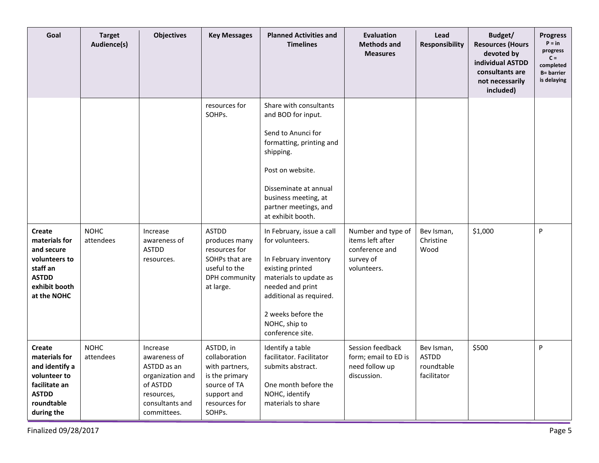| Goal                                                                                                                   | <b>Target</b><br>Audience(s) | <b>Objectives</b>                                                                                                       | <b>Key Messages</b>                                                                                                           | <b>Planned Activities and</b><br><b>Timelines</b>                                                                                                                                                                                                                                                                                                     | <b>Evaluation</b><br><b>Methods and</b><br><b>Measures</b>                           | Lead<br>Responsibility                                  | Budget/<br><b>Resources (Hours</b><br>devoted by<br>individual ASTDD<br>consultants are<br>not necessarily<br>included) | <b>Progress</b><br>$P = in$<br>progress<br>$C =$<br>completed<br><b>B= barrier</b><br>is delaying |
|------------------------------------------------------------------------------------------------------------------------|------------------------------|-------------------------------------------------------------------------------------------------------------------------|-------------------------------------------------------------------------------------------------------------------------------|-------------------------------------------------------------------------------------------------------------------------------------------------------------------------------------------------------------------------------------------------------------------------------------------------------------------------------------------------------|--------------------------------------------------------------------------------------|---------------------------------------------------------|-------------------------------------------------------------------------------------------------------------------------|---------------------------------------------------------------------------------------------------|
| <b>Create</b><br>materials for<br>and secure<br>volunteers to<br>staff an<br><b>ASTDD</b>                              | <b>NOHC</b><br>attendees     | Increase<br>awareness of<br><b>ASTDD</b><br>resources.                                                                  | resources for<br>SOHPs.<br><b>ASTDD</b><br>produces many<br>resources for<br>SOHPs that are<br>useful to the<br>DPH community | Share with consultants<br>and BOD for input.<br>Send to Anunci for<br>formatting, printing and<br>shipping.<br>Post on website.<br>Disseminate at annual<br>business meeting, at<br>partner meetings, and<br>at exhibit booth.<br>In February, issue a call<br>for volunteers.<br>In February inventory<br>existing printed<br>materials to update as | Number and type of<br>items left after<br>conference and<br>survey of<br>volunteers. | Bev Isman,<br>Christine<br>Wood                         | \$1,000                                                                                                                 | P                                                                                                 |
| exhibit booth<br>at the NOHC                                                                                           |                              |                                                                                                                         | at large.                                                                                                                     | needed and print<br>additional as required.<br>2 weeks before the<br>NOHC, ship to<br>conference site.                                                                                                                                                                                                                                                |                                                                                      |                                                         |                                                                                                                         |                                                                                                   |
| Create<br>materials for<br>and identify a<br>volunteer to<br>facilitate an<br><b>ASTDD</b><br>roundtable<br>during the | <b>NOHC</b><br>attendees     | Increase<br>awareness of<br>ASTDD as an<br>organization and<br>of ASTDD<br>resources,<br>consultants and<br>committees. | ASTDD, in<br>collaboration<br>with partners,<br>is the primary<br>source of TA<br>support and<br>resources for<br>SOHPs.      | Identify a table<br>facilitator. Facilitator<br>submits abstract.<br>One month before the<br>NOHC, identify<br>materials to share                                                                                                                                                                                                                     | Session feedback<br>form; email to ED is<br>need follow up<br>discussion.            | Bev Isman,<br><b>ASTDD</b><br>roundtable<br>facilitator | \$500                                                                                                                   | P                                                                                                 |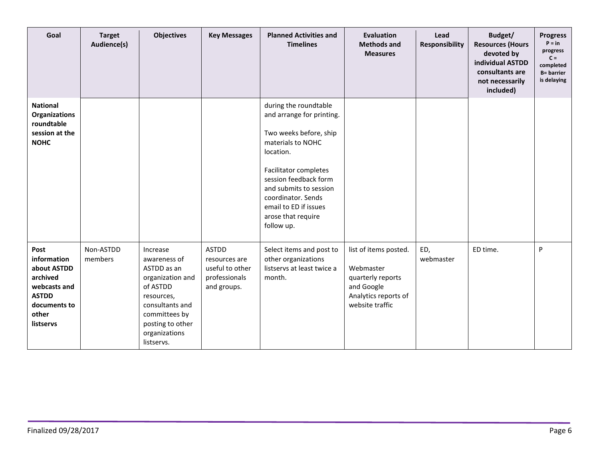| Goal                                                                                                                 | <b>Target</b><br>Audience(s) | <b>Objectives</b>                                                                                                                                                            | <b>Key Messages</b>                                                              | <b>Planned Activities and</b><br><b>Timelines</b>                                                                                                                                                                                                                             | <b>Evaluation</b><br><b>Methods and</b><br><b>Measures</b>                                                       | Lead<br>Responsibility | Budget/<br><b>Resources (Hours</b><br>devoted by<br>individual ASTDD<br>consultants are<br>not necessarily<br>included) | <b>Progress</b><br>$P = in$<br>progress<br>$C =$<br>completed<br><b>B</b> = barrier<br>is delaying |
|----------------------------------------------------------------------------------------------------------------------|------------------------------|------------------------------------------------------------------------------------------------------------------------------------------------------------------------------|----------------------------------------------------------------------------------|-------------------------------------------------------------------------------------------------------------------------------------------------------------------------------------------------------------------------------------------------------------------------------|------------------------------------------------------------------------------------------------------------------|------------------------|-------------------------------------------------------------------------------------------------------------------------|----------------------------------------------------------------------------------------------------|
| <b>National</b><br><b>Organizations</b><br>roundtable<br>session at the<br><b>NOHC</b>                               |                              |                                                                                                                                                                              |                                                                                  | during the roundtable<br>and arrange for printing.<br>Two weeks before, ship<br>materials to NOHC<br>location.<br>Facilitator completes<br>session feedback form<br>and submits to session<br>coordinator. Sends<br>email to ED if issues<br>arose that require<br>follow up. |                                                                                                                  |                        |                                                                                                                         |                                                                                                    |
| Post<br>information<br>about ASTDD<br>archived<br>webcasts and<br><b>ASTDD</b><br>documents to<br>other<br>listservs | Non-ASTDD<br>members         | Increase<br>awareness of<br>ASTDD as an<br>organization and<br>of ASTDD<br>resources,<br>consultants and<br>committees by<br>posting to other<br>organizations<br>listservs. | <b>ASTDD</b><br>resources are<br>useful to other<br>professionals<br>and groups. | Select items and post to<br>other organizations<br>listservs at least twice a<br>month.                                                                                                                                                                                       | list of items posted.<br>Webmaster<br>quarterly reports<br>and Google<br>Analytics reports of<br>website traffic | ED,<br>webmaster       | ED time.                                                                                                                | P                                                                                                  |